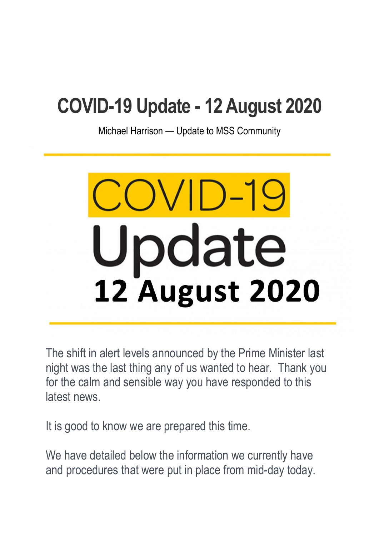# **COVID-19 Update - 12 August 2020**

Michael Harrison — Update to MSS Community

# Update **12 August 2020**

The shift in alert levels announced by the Prime Minister last night was the last thing any of us wanted to hear. Thank you for the calm and sensible way you have responded to this latest news.

It is good to know we are prepared this time.

We have detailed below the information we currently have and procedures that were put in place from mid-day today.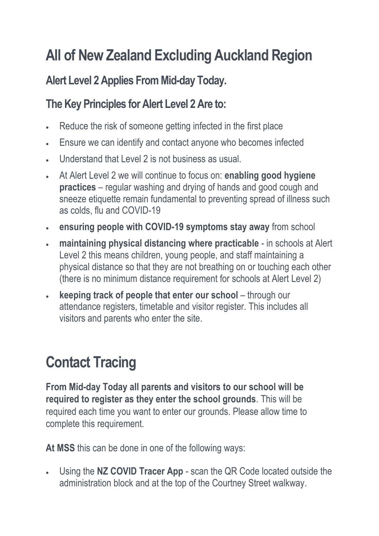## **All of New Zealand Excluding Auckland Region**

#### **Alert Level 2 Applies From Mid-day Today.**

#### **The Key Principles for Alert Level 2 Are to:**

- Reduce the risk of someone getting infected in the first place
- Ensure we can identify and contact anyone who becomes infected
- Understand that Level 2 is not business as usual.
- At Alert Level 2 we will continue to focus on: **enabling good hygiene practices** – regular washing and drying of hands and good cough and sneeze etiquette remain fundamental to preventing spread of illness such as colds, flu and COVID-19
- **ensuring people with COVID-19 symptoms stay away** from school
- **maintaining physical distancing where practicable** in schools at Alert Level 2 this means children, young people, and staff maintaining a physical distance so that they are not breathing on or touching each other (there is no minimum distance requirement for schools at Alert Level 2)
- **keeping track of people that enter our school** through our attendance registers, timetable and visitor register. This includes all visitors and parents who enter the site.

# **Contact Tracing**

**From Mid-day Today all parents and visitors to our school will be required to register as they enter the school grounds**. This will be required each time you want to enter our grounds. Please allow time to complete this requirement.

**At MSS** this can be done in one of the following ways:

 Using the **NZ COVID Tracer App** - scan the QR Code located outside the administration block and at the top of the Courtney Street walkway.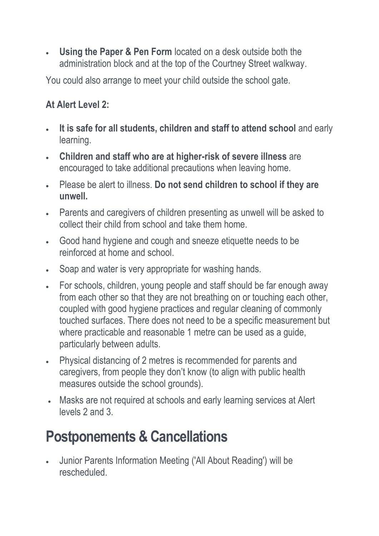**Using the Paper & Pen Form** located on a desk outside both the administration block and at the top of the Courtney Street walkway.

You could also arrange to meet your child outside the school gate.

#### **At Alert Level 2:**

- **It is safe for all students, children and staff to attend school** and early learning.
- **Children and staff who are at higher-risk of severe illness** are encouraged to take additional precautions when leaving home.
- Please be alert to illness. **Do not send children to school if they are unwell.**
- Parents and caregivers of children presenting as unwell will be asked to collect their child from school and take them home.
- Good hand hygiene and cough and sneeze etiquette needs to be reinforced at home and school.
- Soap and water is very appropriate for washing hands.
- For schools, children, young people and staff should be far enough away from each other so that they are not breathing on or touching each other, coupled with good hygiene practices and regular cleaning of commonly touched surfaces. There does not need to be a specific measurement but where practicable and reasonable 1 metre can be used as a guide, particularly between adults.
- Physical distancing of 2 metres is recommended for parents and caregivers, from people they don't know (to align with public health measures outside the school grounds).
- Masks are not required at schools and early learning services at Alert levels 2 and 3.

### **Postponements & Cancellations**

 Junior Parents Information Meeting ('All About Reading') will be rescheduled.